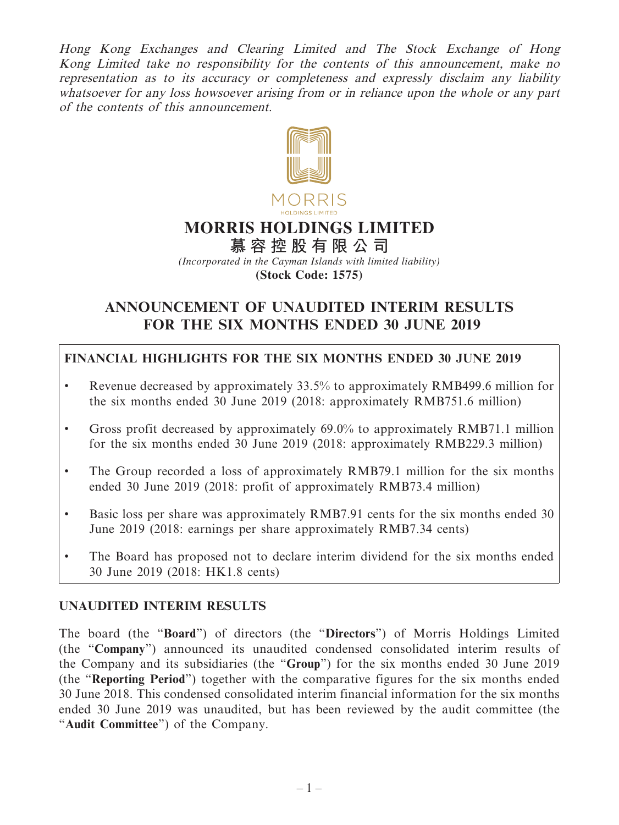Hong Kong Exchanges and Clearing Limited and The Stock Exchange of Hong Kong Limited take no responsibility for the contents of this announcement, make no representation as to its accuracy or completeness and expressly disclaim any liability whatsoever for any loss howsoever arising from or in reliance upon the whole or any part of the contents of this announcement.



# **MORRIS HOLDINGS LIMITED**

**慕容控股有限公 司** *(Incorporated in the Cayman Islands with limited liability)* **(Stock Code: 1575)**

# **ANNOUNCEMENT OF UNAUDITED INTERIM RESULTS FOR THE SIX MONTHS ENDED 30 JUNE 2019**

# **FINANCIAL HIGHLIGHTS FOR THE SIX MONTHS ENDED 30 JUNE 2019**

- Revenue decreased by approximately 33.5% to approximately RMB499.6 million for the six months ended 30 June 2019 (2018: approximately RMB751.6 million)
- Gross profit decreased by approximately 69.0% to approximately RMB71.1 million for the six months ended 30 June 2019 (2018: approximately RMB229.3 million)
- The Group recorded a loss of approximately RMB79.1 million for the six months ended 30 June 2019 (2018: profit of approximately RMB73.4 million)
- Basic loss per share was approximately RMB7.91 cents for the six months ended 30 June 2019 (2018: earnings per share approximately RMB7.34 cents)
- The Board has proposed not to declare interim dividend for the six months ended 30 June 2019 (2018: HK1.8 cents)

# **UNAUDITED INTERIM RESULTS**

The board (the "**Board**") of directors (the "**Directors**") of Morris Holdings Limited (the "**Company**") announced its unaudited condensed consolidated interim results of the Company and its subsidiaries (the "**Group**") for the six months ended 30 June 2019 (the "**Reporting Period**") together with the comparative figures for the six months ended 30 June 2018. This condensed consolidated interim financial information for the six months ended 30 June 2019 was unaudited, but has been reviewed by the audit committee (the "**Audit Committee**") of the Company.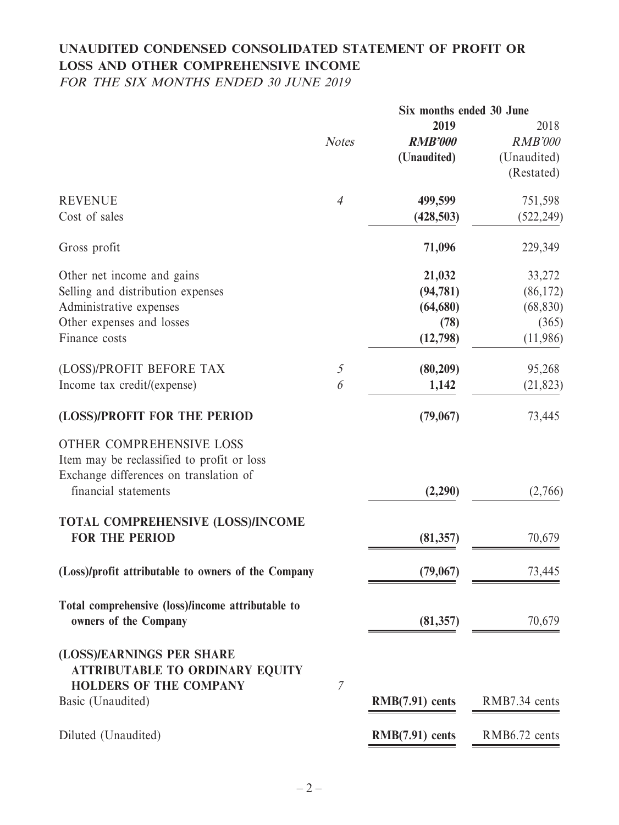# **UNAUDITED CONDENSED CONSOLIDATED STATEMENT OF PROFIT OR LOSS AND OTHER COMPREHENSIVE INCOME**

FOR THE SIX MONTHS ENDED 30 JUNE 2019

|                                                                                                                  |                | Six months ended 30 June |                |
|------------------------------------------------------------------------------------------------------------------|----------------|--------------------------|----------------|
|                                                                                                                  |                | 2019                     | 2018           |
|                                                                                                                  | <b>Notes</b>   | <b>RMB'000</b>           | <b>RMB'000</b> |
|                                                                                                                  |                | (Unaudited)              | (Unaudited)    |
|                                                                                                                  |                |                          | (Restated)     |
| <b>REVENUE</b>                                                                                                   | $\overline{4}$ | 499,599                  | 751,598        |
| Cost of sales                                                                                                    |                | (428, 503)               | (522, 249)     |
| Gross profit                                                                                                     |                | 71,096                   | 229,349        |
| Other net income and gains                                                                                       |                | 21,032                   | 33,272         |
| Selling and distribution expenses                                                                                |                | (94, 781)                | (86, 172)      |
| Administrative expenses                                                                                          |                | (64, 680)                | (68, 830)      |
| Other expenses and losses                                                                                        |                | (78)                     | (365)          |
| Finance costs                                                                                                    |                | (12,798)                 | (11,986)       |
| (LOSS)/PROFIT BEFORE TAX                                                                                         | $\mathfrak{I}$ | (80, 209)                | 95,268         |
| Income tax credit/(expense)                                                                                      | 6              | 1,142                    | (21, 823)      |
| (LOSS)/PROFIT FOR THE PERIOD                                                                                     |                | (79,067)                 | 73,445         |
| OTHER COMPREHENSIVE LOSS<br>Item may be reclassified to profit or loss<br>Exchange differences on translation of |                |                          |                |
| financial statements                                                                                             |                | (2,290)                  | (2,766)        |
| TOTAL COMPREHENSIVE (LOSS)/INCOME                                                                                |                |                          |                |
| <b>FOR THE PERIOD</b>                                                                                            |                | (81, 357)                | 70,679         |
| (Loss)/profit attributable to owners of the Company                                                              |                | (79,067)                 | 73,445         |
| Total comprehensive (loss)/income attributable to                                                                |                |                          |                |
| owners of the Company                                                                                            |                | (81, 357)                | 70,679         |
| (LOSS)/EARNINGS PER SHARE<br><b>ATTRIBUTABLE TO ORDINARY EQUITY</b>                                              | $\mathcal{I}$  |                          |                |
| <b>HOLDERS OF THE COMPANY</b><br>Basic (Unaudited)                                                               |                | $RMB(7.91)$ cents        | RMB7.34 cents  |
| Diluted (Unaudited)                                                                                              |                | $RMB(7.91)$ cents        | RMB6.72 cents  |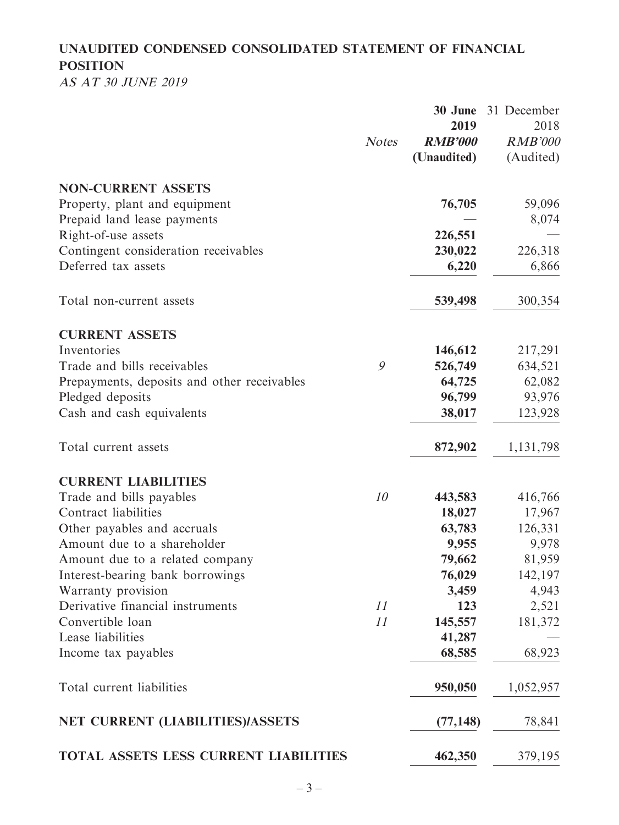# **UNAUDITED CONDENSED CONSOLIDATED STATEMENT OF FINANCIAL POSITION**

AS AT 30 JUNE 2019

|                                                             | <b>Notes</b> | 30 June<br>2019<br><b>RMB'000</b><br>(Unaudited) | 31 December<br>2018<br><b>RMB'000</b><br>(Audited) |
|-------------------------------------------------------------|--------------|--------------------------------------------------|----------------------------------------------------|
| <b>NON-CURRENT ASSETS</b>                                   |              |                                                  |                                                    |
| Property, plant and equipment                               |              | 76,705                                           | 59,096                                             |
| Prepaid land lease payments                                 |              |                                                  | 8,074                                              |
| Right-of-use assets                                         |              | 226,551                                          |                                                    |
| Contingent consideration receivables<br>Deferred tax assets |              | 230,022                                          | 226,318                                            |
|                                                             |              | 6,220                                            | 6,866                                              |
| Total non-current assets                                    |              | 539,498                                          | 300,354                                            |
| <b>CURRENT ASSETS</b>                                       |              |                                                  |                                                    |
| Inventories                                                 |              | 146,612                                          | 217,291                                            |
| Trade and bills receivables                                 | 9            | 526,749                                          | 634,521                                            |
| Prepayments, deposits and other receivables                 |              | 64,725                                           | 62,082                                             |
| Pledged deposits                                            |              | 96,799                                           | 93,976                                             |
| Cash and cash equivalents                                   |              | 38,017                                           | 123,928                                            |
| Total current assets                                        |              | 872,902                                          | 1, 131, 798                                        |
| <b>CURRENT LIABILITIES</b>                                  |              |                                                  |                                                    |
| Trade and bills payables                                    | 10           | 443,583                                          | 416,766                                            |
| Contract liabilities                                        |              | 18,027                                           | 17,967                                             |
| Other payables and accruals                                 |              | 63,783                                           | 126,331                                            |
| Amount due to a shareholder                                 |              | 9,955                                            | 9,978                                              |
| Amount due to a related company                             |              | 79,662                                           | 81,959                                             |
| Interest-bearing bank borrowings                            |              | 76,029                                           | 142,197                                            |
| Warranty provision                                          |              | 3,459                                            | 4,943                                              |
| Derivative financial instruments                            | 11           | 123                                              | 2,521                                              |
| Convertible loan                                            | 11           | 145,557                                          | 181,372                                            |
| Lease liabilities                                           |              | 41,287                                           |                                                    |
| Income tax payables                                         |              | 68,585                                           | 68,923                                             |
| Total current liabilities                                   |              | 950,050                                          | 1,052,957                                          |
| NET CURRENT (LIABILITIES)/ASSETS                            |              | (77, 148)                                        | 78,841                                             |
| TOTAL ASSETS LESS CURRENT LIABILITIES                       |              | 462,350                                          | 379,195                                            |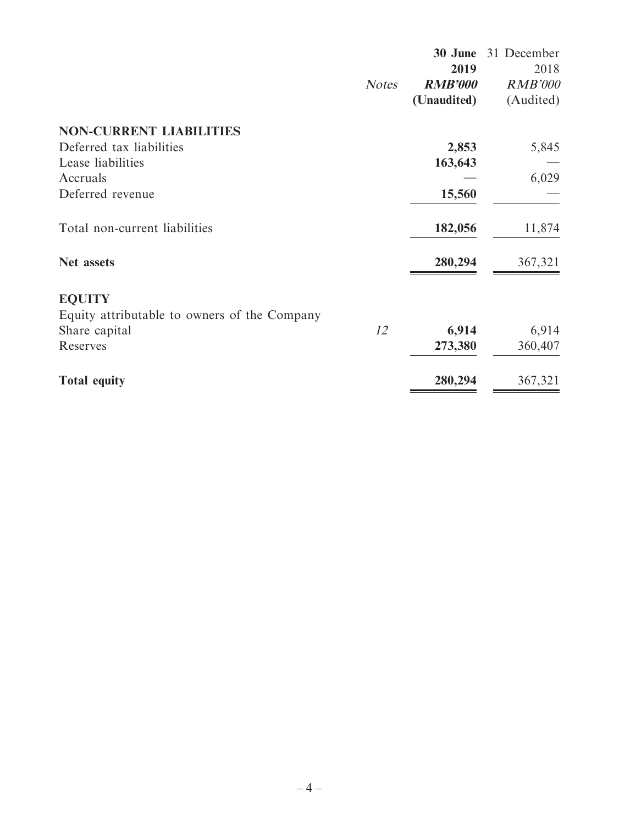|                                              |              | 30 June                | 31 December            |
|----------------------------------------------|--------------|------------------------|------------------------|
|                                              |              | 2019<br><b>RMB'000</b> | 2018<br><b>RMB'000</b> |
|                                              | <b>Notes</b> | (Unaudited)            | (Audited)              |
|                                              |              |                        |                        |
| <b>NON-CURRENT LIABILITIES</b>               |              |                        |                        |
| Deferred tax liabilities                     |              | 2,853                  | 5,845                  |
| Lease liabilities                            |              | 163,643                |                        |
| Accruals                                     |              |                        | 6,029                  |
| Deferred revenue                             |              | 15,560                 |                        |
| Total non-current liabilities                |              | 182,056                | 11,874                 |
| Net assets                                   |              | 280,294                | 367,321                |
| <b>EQUITY</b>                                |              |                        |                        |
| Equity attributable to owners of the Company |              |                        |                        |
| Share capital                                | 12           | 6,914                  | 6,914                  |
| Reserves                                     |              | 273,380                | 360,407                |
| <b>Total equity</b>                          |              | 280,294                | 367,321                |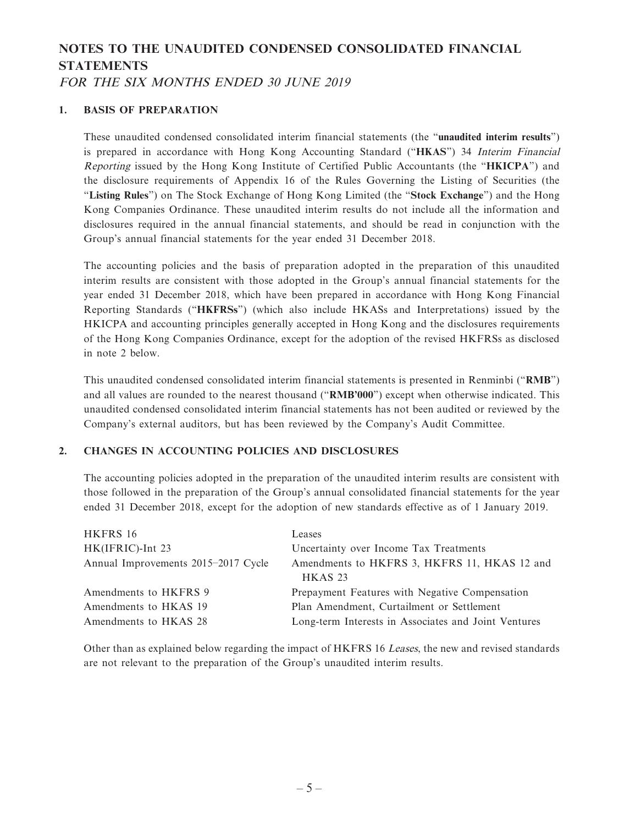# **NOTES TO THE UNAUDITED CONDENSED CONSOLIDATED FINANCIAL STATEMENTS**

FOR THE SIX MONTHS ENDED 30 JUNE 2019

#### **1. BASIS OF PREPARATION**

These unaudited condensed consolidated interim financial statements (the "**unaudited interim results**") is prepared in accordance with Hong Kong Accounting Standard ("**HKAS**") 34 Interim Financial Reporting issued by the Hong Kong Institute of Certified Public Accountants (the "**HKICPA**") and the disclosure requirements of Appendix 16 of the Rules Governing the Listing of Securities (the "**Listing Rules**") on The Stock Exchange of Hong Kong Limited (the "**Stock Exchange**") and the Hong Kong Companies Ordinance. These unaudited interim results do not include all the information and disclosures required in the annual financial statements, and should be read in conjunction with the Group's annual financial statements for the year ended 31 December 2018.

The accounting policies and the basis of preparation adopted in the preparation of this unaudited interim results are consistent with those adopted in the Group's annual financial statements for the year ended 31 December 2018, which have been prepared in accordance with Hong Kong Financial Reporting Standards ("**HKFRSs**") (which also include HKASs and Interpretations) issued by the HKICPA and accounting principles generally accepted in Hong Kong and the disclosures requirements of the Hong Kong Companies Ordinance, except for the adoption of the revised HKFRSs as disclosed in note 2 below.

This unaudited condensed consolidated interim financial statements is presented in Renminbi ("**RMB**") and all values are rounded to the nearest thousand ("**RMB'000**") except when otherwise indicated. This unaudited condensed consolidated interim financial statements has not been audited or reviewed by the Company's external auditors, but has been reviewed by the Company's Audit Committee.

#### **2. CHANGES IN ACCOUNTING POLICIES AND DISCLOSURES**

The accounting policies adopted in the preparation of the unaudited interim results are consistent with those followed in the preparation of the Group's annual consolidated financial statements for the year ended 31 December 2018, except for the adoption of new standards effective as of 1 January 2019.

| Leases                                               |
|------------------------------------------------------|
| Uncertainty over Income Tax Treatments               |
| Amendments to HKFRS 3, HKFRS 11, HKAS 12 and         |
| <b>HKAS 23</b>                                       |
| Prepayment Features with Negative Compensation       |
| Plan Amendment, Curtailment or Settlement            |
| Long-term Interests in Associates and Joint Ventures |
|                                                      |

Other than as explained below regarding the impact of HKFRS 16 Leases, the new and revised standards are not relevant to the preparation of the Group's unaudited interim results.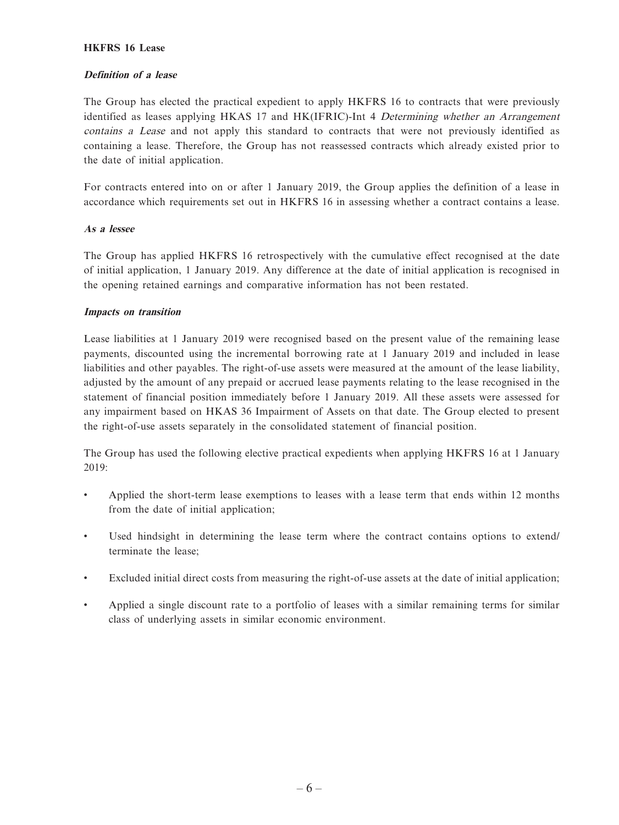#### **HKFRS 16 Lease**

#### **Definition of a lease**

The Group has elected the practical expedient to apply HKFRS 16 to contracts that were previously identified as leases applying HKAS 17 and HK(IFRIC)-Int 4 Determining whether an Arrangement contains a Lease and not apply this standard to contracts that were not previously identified as containing a lease. Therefore, the Group has not reassessed contracts which already existed prior to the date of initial application.

For contracts entered into on or after 1 January 2019, the Group applies the definition of a lease in accordance which requirements set out in HKFRS 16 in assessing whether a contract contains a lease.

#### **As a lessee**

The Group has applied HKFRS 16 retrospectively with the cumulative effect recognised at the date of initial application, 1 January 2019. Any difference at the date of initial application is recognised in the opening retained earnings and comparative information has not been restated.

#### **Impacts on transition**

Lease liabilities at 1 January 2019 were recognised based on the present value of the remaining lease payments, discounted using the incremental borrowing rate at 1 January 2019 and included in lease liabilities and other payables. The right-of-use assets were measured at the amount of the lease liability, adjusted by the amount of any prepaid or accrued lease payments relating to the lease recognised in the statement of financial position immediately before 1 January 2019. All these assets were assessed for any impairment based on HKAS 36 Impairment of Assets on that date. The Group elected to present the right-of-use assets separately in the consolidated statement of financial position.

The Group has used the following elective practical expedients when applying HKFRS 16 at 1 January 2019:

- Applied the short-term lease exemptions to leases with a lease term that ends within 12 months from the date of initial application;
- Used hindsight in determining the lease term where the contract contains options to extend/ terminate the lease;
- Excluded initial direct costs from measuring the right-of-use assets at the date of initial application;
- Applied a single discount rate to a portfolio of leases with a similar remaining terms for similar class of underlying assets in similar economic environment.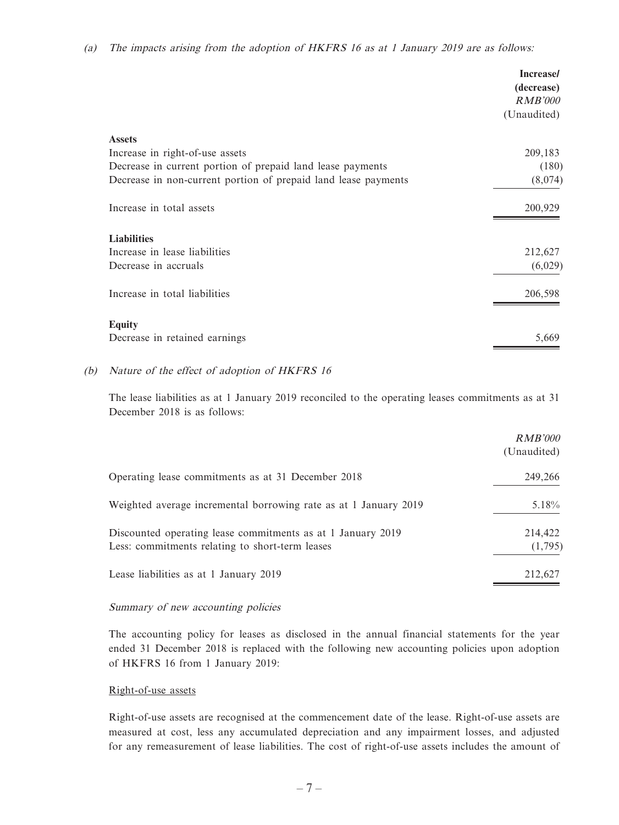|                                                                | <b>Increase/</b><br>(decrease)<br><i>RMB'000</i> |
|----------------------------------------------------------------|--------------------------------------------------|
|                                                                | (Unaudited)                                      |
| <b>Assets</b>                                                  |                                                  |
| Increase in right-of-use assets                                | 209,183                                          |
| Decrease in current portion of prepaid land lease payments     | (180)                                            |
| Decrease in non-current portion of prepaid land lease payments | (8,074)                                          |
| Increase in total assets                                       | 200,929                                          |
| <b>Liabilities</b>                                             |                                                  |
| Increase in lease liabilities                                  | 212,627                                          |
| Decrease in accruals                                           | (6,029)                                          |
| Increase in total liabilities                                  | 206,598                                          |
| <b>Equity</b>                                                  |                                                  |
| Decrease in retained earnings                                  | 5,669                                            |

#### (b) Nature of the effect of adoption of HKFRS 16

The lease liabilities as at 1 January 2019 reconciled to the operating leases commitments as at 31 December 2018 is as follows:

|                                                                                                                | RMB'000<br>(Unaudited) |
|----------------------------------------------------------------------------------------------------------------|------------------------|
| Operating lease commitments as at 31 December 2018                                                             | 249,266                |
| Weighted average incremental borrowing rate as at 1 January 2019                                               | $5.18\%$               |
| Discounted operating lease commitments as at 1 January 2019<br>Less: commitments relating to short-term leases | 214,422<br>(1,795)     |
| Lease liabilities as at 1 January 2019                                                                         | 212,627                |

#### Summary of new accounting policies

The accounting policy for leases as disclosed in the annual financial statements for the year ended 31 December 2018 is replaced with the following new accounting policies upon adoption of HKFRS 16 from 1 January 2019:

#### Right-of-use assets

Right-of-use assets are recognised at the commencement date of the lease. Right-of-use assets are measured at cost, less any accumulated depreciation and any impairment losses, and adjusted for any remeasurement of lease liabilities. The cost of right-of-use assets includes the amount of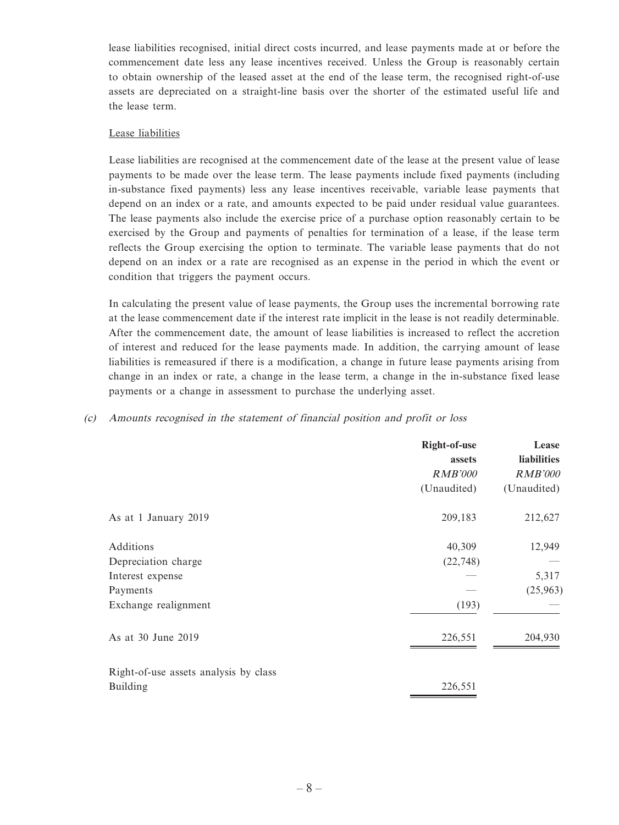lease liabilities recognised, initial direct costs incurred, and lease payments made at or before the commencement date less any lease incentives received. Unless the Group is reasonably certain to obtain ownership of the leased asset at the end of the lease term, the recognised right-of-use assets are depreciated on a straight-line basis over the shorter of the estimated useful life and the lease term.

#### Lease liabilities

Lease liabilities are recognised at the commencement date of the lease at the present value of lease payments to be made over the lease term. The lease payments include fixed payments (including in-substance fixed payments) less any lease incentives receivable, variable lease payments that depend on an index or a rate, and amounts expected to be paid under residual value guarantees. The lease payments also include the exercise price of a purchase option reasonably certain to be exercised by the Group and payments of penalties for termination of a lease, if the lease term reflects the Group exercising the option to terminate. The variable lease payments that do not depend on an index or a rate are recognised as an expense in the period in which the event or condition that triggers the payment occurs.

In calculating the present value of lease payments, the Group uses the incremental borrowing rate at the lease commencement date if the interest rate implicit in the lease is not readily determinable. After the commencement date, the amount of lease liabilities is increased to reflect the accretion of interest and reduced for the lease payments made. In addition, the carrying amount of lease liabilities is remeasured if there is a modification, a change in future lease payments arising from change in an index or rate, a change in the lease term, a change in the in-substance fixed lease payments or a change in assessment to purchase the underlying asset.

|  | (c) Amounts recognised in the statement of financial position and profit or loss |  |  |  |  |  |
|--|----------------------------------------------------------------------------------|--|--|--|--|--|
|--|----------------------------------------------------------------------------------|--|--|--|--|--|

|                                                                  | Right-of-use<br>assets<br><i>RMB'000</i><br>(Unaudited) | Lease<br><b>liabilities</b><br><b>RMB'000</b><br>(Unaudited) |
|------------------------------------------------------------------|---------------------------------------------------------|--------------------------------------------------------------|
| As at 1 January 2019                                             | 209,183                                                 | 212,627                                                      |
| Additions<br>Depreciation charge<br>Interest expense<br>Payments | 40,309<br>(22, 748)                                     | 12,949<br>5,317<br>(25,963)                                  |
| Exchange realignment                                             | (193)                                                   |                                                              |
| As at 30 June 2019                                               | 226,551                                                 | 204,930                                                      |
| Right-of-use assets analysis by class<br><b>Building</b>         | 226,551                                                 |                                                              |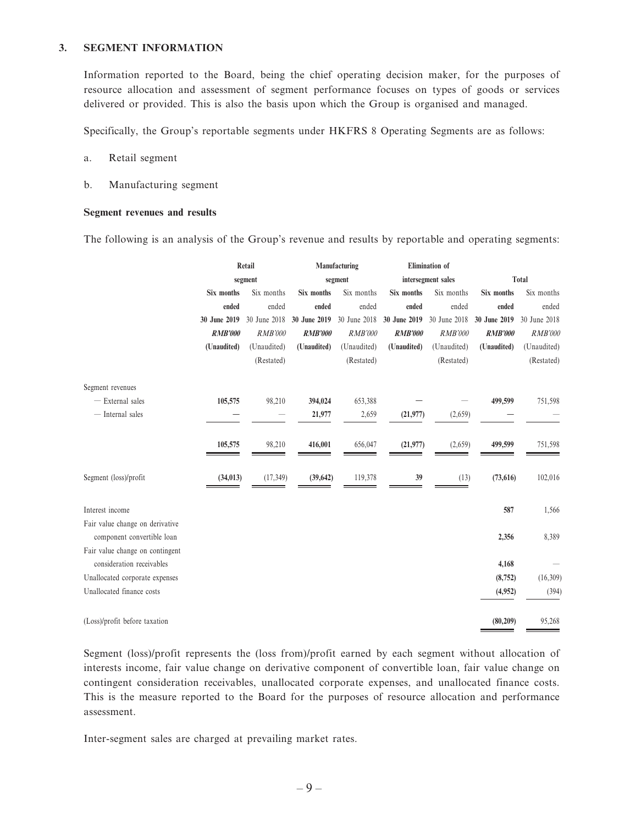#### **3. SEGMENT INFORMATION**

Information reported to the Board, being the chief operating decision maker, for the purposes of resource allocation and assessment of segment performance focuses on types of goods or services delivered or provided. This is also the basis upon which the Group is organised and managed.

Specifically, the Group's reportable segments under HKFRS 8 Operating Segments are as follows:

- a. Retail segment
- b. Manufacturing segment

#### **Segment revenues and results**

The following is an analysis of the Group's revenue and results by reportable and operating segments:

|                                 | Retail         |                |                | Manufacturing  |                    | Elimination of |                |                |
|---------------------------------|----------------|----------------|----------------|----------------|--------------------|----------------|----------------|----------------|
|                                 |                | segment        | segment        |                | intersegment sales |                | <b>Total</b>   |                |
|                                 | Six months     | Six months     | Six months     | Six months     | Six months         | Six months     | Six months     | Six months     |
|                                 | ended          | ended          | ended          | ended          | ended              | ended          | ended          | ended          |
|                                 | 30 June 2019   | 30 June 2018   | 30 June 2019   | 30 June 2018   | 30 June 2019       | 30 June 2018   | 30 June 2019   | 30 June 2018   |
|                                 | <b>RMB'000</b> | <b>RMB'000</b> | <b>RMB'000</b> | <b>RMB'000</b> | <b>RMB'000</b>     | <b>RMB'000</b> | <b>RMB'000</b> | <b>RMB'000</b> |
|                                 | (Unaudited)    | (Unaudited)    | (Unaudited)    | (Unaudited)    | (Unaudited)        | (Unaudited)    | (Unaudited)    | (Unaudited)    |
|                                 |                | (Restated)     |                | (Restated)     |                    | (Restated)     |                | (Restated)     |
| Segment revenues                |                |                |                |                |                    |                |                |                |
| - External sales                | 105,575        | 98,210         | 394,024        | 653,388        |                    |                | 499,599        | 751,598        |
| - Internal sales                |                |                | 21,977         | 2,659          | (21, 977)          | (2,659)        |                |                |
|                                 |                |                |                |                |                    |                |                |                |
|                                 | 105,575        | 98,210         | 416,001        | 656,047        | (21, 977)          | (2,659)        | 499,599        | 751,598        |
|                                 |                |                |                |                |                    |                |                |                |
| Segment (loss)/profit           | (34, 013)      | (17, 349)      | (39, 642)      | 119,378        | 39                 | (13)           | (73, 616)      | 102,016        |
|                                 |                |                |                |                |                    |                |                |                |
| Interest income                 |                |                |                |                |                    |                | 587            | 1,566          |
| Fair value change on derivative |                |                |                |                |                    |                |                |                |
| component convertible loan      |                |                |                |                |                    |                | 2,356          | 8,389          |
| Fair value change on contingent |                |                |                |                |                    |                |                |                |
| consideration receivables       |                |                |                |                |                    |                | 4,168          |                |
| Unallocated corporate expenses  |                |                |                |                |                    |                | (8, 752)       | (16,309)       |
| Unallocated finance costs       |                |                |                |                |                    |                | (4,952)        | (394)          |
| (Loss)/profit before taxation   |                |                |                |                |                    |                | (80, 209)      | 95,268         |

Segment (loss)/profit represents the (loss from)/profit earned by each segment without allocation of interests income, fair value change on derivative component of convertible loan, fair value change on contingent consideration receivables, unallocated corporate expenses, and unallocated finance costs. This is the measure reported to the Board for the purposes of resource allocation and performance assessment.

Inter-segment sales are charged at prevailing market rates.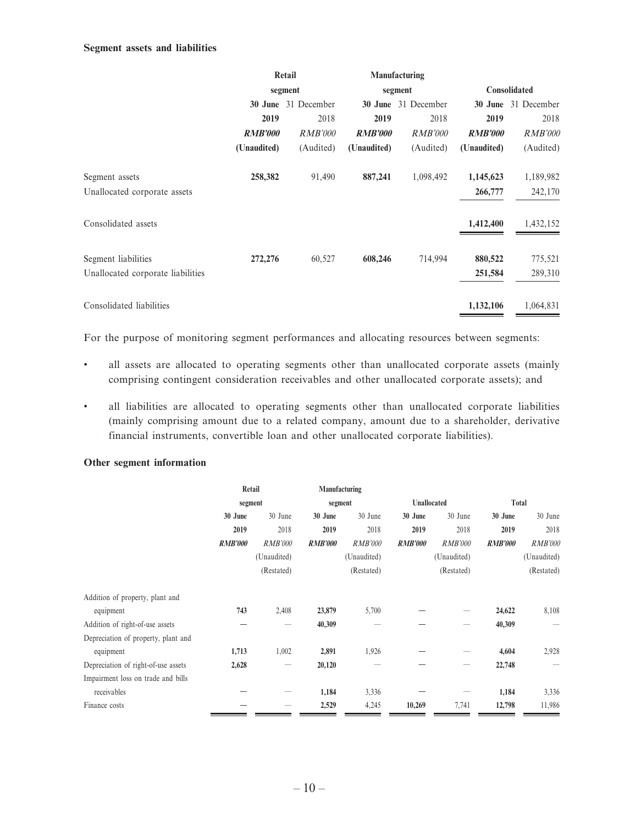#### **Segment assets and liabilities**

|                                   | Retail         |                     |                        | Manufacturing  |                |                |  |
|-----------------------------------|----------------|---------------------|------------------------|----------------|----------------|----------------|--|
|                                   |                | segment             |                        | segment        |                | Consolidated   |  |
|                                   |                | 30 June 31 December | 31 December<br>30 June |                | 30 June        | 31 December    |  |
|                                   | 2019           | 2018                | 2019                   | 2018           | 2019           | 2018           |  |
|                                   | <b>RMB'000</b> | <i>RMB'000</i>      | <b>RMB'000</b>         | <i>RMB'000</i> | <b>RMB'000</b> | <b>RMB'000</b> |  |
|                                   | (Unaudited)    | (Audited)           | (Unaudited)            | (Audited)      | (Unaudited)    | (Audited)      |  |
| Segment assets                    | 258,382        | 91,490              | 887,241                | 1,098,492      | 1,145,623      | 1,189,982      |  |
| Unallocated corporate assets      |                |                     |                        |                | 266,777        | 242,170        |  |
| Consolidated assets               |                |                     |                        |                | 1,412,400      | 1,432,152      |  |
| Segment liabilities               | 272,276        | 60,527              | 608,246                | 714,994        | 880,522        | 775,521        |  |
| Unallocated corporate liabilities |                |                     |                        |                | 251,584        | 289,310        |  |
| Consolidated liabilities          |                |                     |                        |                | 1,132,106      | 1,064,831      |  |

For the purpose of monitoring segment performances and allocating resources between segments:

- all assets are allocated to operating segments other than unallocated corporate assets (mainly comprising contingent consideration receivables and other unallocated corporate assets); and
- all liabilities are allocated to operating segments other than unallocated corporate liabilities (mainly comprising amount due to a related company, amount due to a shareholder, derivative financial instruments, convertible loan and other unallocated corporate liabilities).

#### **Other segment information**

| Retail         |                                 | Manufacturing      |                |                |                |                |                |
|----------------|---------------------------------|--------------------|----------------|----------------|----------------|----------------|----------------|
|                |                                 | segment            |                | Unallocated    |                | Total          |                |
| 30 June        | 30 June                         | 30 June<br>30 June |                | 30 June        | 30 June        | 30 June        | 30 June        |
| 2019           | 2018                            | 2019               | 2018           | 2019           | 2018           | 2019           | 2018           |
| <b>RMB'000</b> | <b>RMB'000</b>                  | <i>RMB'000</i>     | <i>RMB'000</i> | <b>RMB'000</b> | <b>RMB'000</b> | <b>RMB'000</b> | <i>RMB'000</i> |
|                | (Unaudited)                     |                    | (Unaudited)    | (Unaudited)    |                |                | (Unaudited)    |
|                | (Restated)                      | (Restated)         |                | (Restated)     |                |                | (Restated)     |
|                |                                 |                    |                |                |                |                |                |
| 743            | 2,408                           | 23,879             | 5,700          |                |                | 24,622         | 8,108          |
|                |                                 | 40,309             |                |                |                | 40,309         |                |
|                |                                 |                    |                |                |                |                |                |
| 1,713          | 1,002                           | 2,891              | 1,926          |                |                | 4,604          | 2,928          |
| 2,628          | $\hspace{0.1mm}-\hspace{0.1mm}$ | 20,120             |                |                |                | 22,748         |                |
|                |                                 |                    |                |                |                |                |                |
|                |                                 | 1,184              | 3,336          |                |                | 1,184          | 3,336          |
|                |                                 | 2,529              | 4,245          | 10,269         | 7,741          | 12,798         | 11,986         |
|                |                                 | segment            |                |                |                |                |                |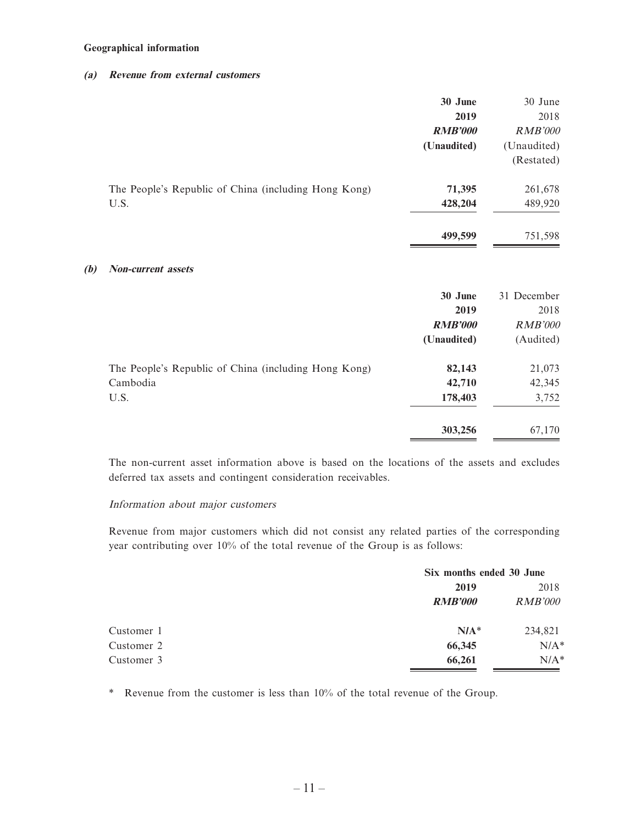#### **Geographical information**

**(b)** 

#### **(a) Revenue from external customers**

|                                                      | 30 June<br>2019<br><b>RMB'000</b><br>(Unaudited) | 30 June<br>2018<br><b>RMB'000</b><br>(Unaudited) |
|------------------------------------------------------|--------------------------------------------------|--------------------------------------------------|
|                                                      |                                                  | (Restated)                                       |
| The People's Republic of China (including Hong Kong) | 71,395                                           | 261,678                                          |
| U.S.                                                 | 428,204                                          | 489,920                                          |
|                                                      | 499,599                                          | 751,598                                          |
| <b>Non-current assets</b>                            |                                                  |                                                  |
|                                                      | 30 June                                          | 31 December                                      |
|                                                      | 2019                                             | 2018                                             |
|                                                      | <b>RMB'000</b>                                   | <b>RMB'000</b>                                   |
|                                                      | (Unaudited)                                      | (Audited)                                        |
| The People's Republic of China (including Hong Kong) | 82,143                                           | 21,073                                           |
| Cambodia                                             | 42,710                                           | 42,345                                           |
| U.S.                                                 | 178,403                                          | 3,752                                            |
|                                                      | 303,256                                          | 67,170                                           |

The non-current asset information above is based on the locations of the assets and excludes deferred tax assets and contingent consideration receivables.

#### Information about major customers

Revenue from major customers which did not consist any related parties of the corresponding year contributing over 10% of the total revenue of the Group is as follows:

|            |                | Six months ended 30 June |  |
|------------|----------------|--------------------------|--|
|            | 2019           | 2018                     |  |
|            | <b>RMB'000</b> | RMB'000                  |  |
| Customer 1 | $N/A^*$        | 234,821                  |  |
| Customer 2 | 66,345         | $N/A^*$                  |  |
| Customer 3 | 66,261         | $N/A^*$                  |  |

\* Revenue from the customer is less than 10% of the total revenue of the Group.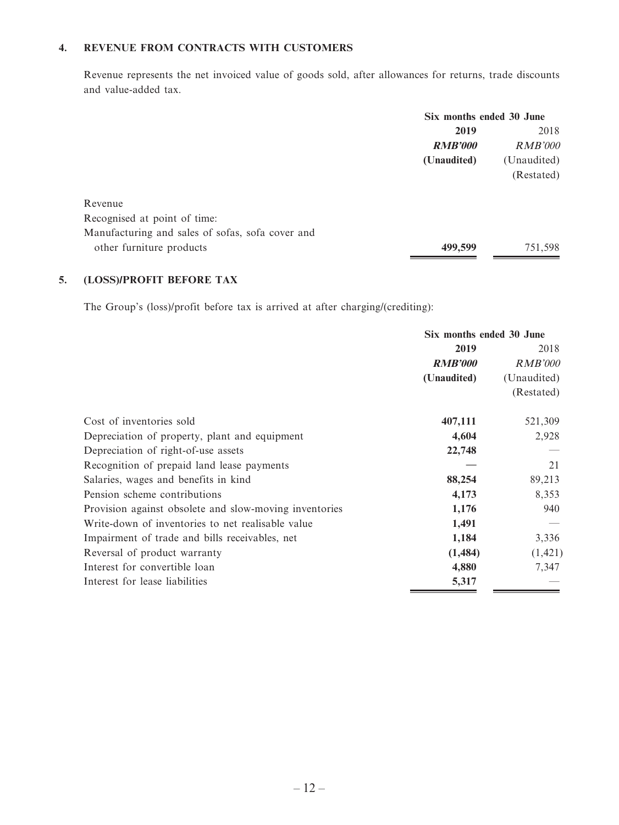#### **4. REVENUE FROM CONTRACTS WITH CUSTOMERS**

Revenue represents the net invoiced value of goods sold, after allowances for returns, trade discounts and value-added tax.

|                                                  | Six months ended 30 June |                |
|--------------------------------------------------|--------------------------|----------------|
|                                                  | 2019                     | 2018           |
|                                                  | <b>RMB'000</b>           | <i>RMB'000</i> |
|                                                  | (Unaudited)              | (Unaudited)    |
|                                                  |                          | (Restated)     |
|                                                  |                          |                |
| Revenue                                          |                          |                |
| Recognised at point of time:                     |                          |                |
| Manufacturing and sales of sofas, sofa cover and |                          |                |
| other furniture products                         | 499,599                  | 751,598        |
|                                                  |                          |                |

### **5. (LOSS)/PROFIT BEFORE TAX**

The Group's (loss)/profit before tax is arrived at after charging/(crediting):

|                                                        | Six months ended 30 June |                |
|--------------------------------------------------------|--------------------------|----------------|
|                                                        | 2019                     | 2018           |
|                                                        | <b>RMB'000</b>           | <b>RMB'000</b> |
|                                                        | (Unaudited)              | (Unaudited)    |
|                                                        |                          | (Restated)     |
| Cost of inventories sold                               | 407,111                  | 521,309        |
| Depreciation of property, plant and equipment          | 4,604                    | 2,928          |
| Depreciation of right-of-use assets                    | 22,748                   |                |
| Recognition of prepaid land lease payments             |                          | 21             |
| Salaries, wages and benefits in kind                   | 88,254                   | 89,213         |
| Pension scheme contributions                           | 4,173                    | 8,353          |
| Provision against obsolete and slow-moving inventories | 1,176                    | 940            |
| Write-down of inventories to net realisable value      | 1,491                    |                |
| Impairment of trade and bills receivables, net         | 1,184                    | 3,336          |
| Reversal of product warranty                           | (1,484)                  | (1, 421)       |
| Interest for convertible loan                          | 4,880                    | 7,347          |
| Interest for lease liabilities                         | 5,317                    |                |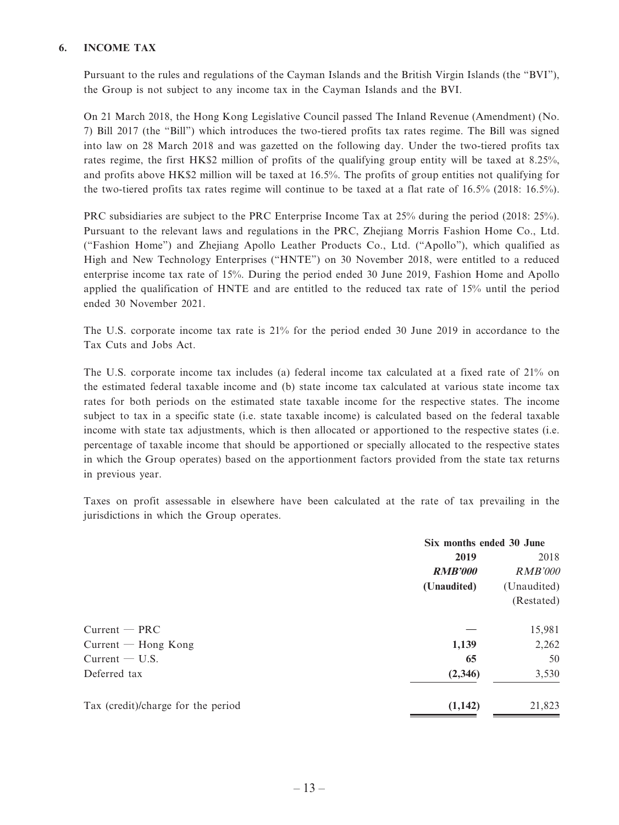#### **6. INCOME TAX**

Pursuant to the rules and regulations of the Cayman Islands and the British Virgin Islands (the "BVI"), the Group is not subject to any income tax in the Cayman Islands and the BVI.

On 21 March 2018, the Hong Kong Legislative Council passed The Inland Revenue (Amendment) (No. 7) Bill 2017 (the "Bill") which introduces the two-tiered profits tax rates regime. The Bill was signed into law on 28 March 2018 and was gazetted on the following day. Under the two-tiered profits tax rates regime, the first HK\$2 million of profits of the qualifying group entity will be taxed at 8.25%, and profits above HK\$2 million will be taxed at 16.5%. The profits of group entities not qualifying for the two-tiered profits tax rates regime will continue to be taxed at a flat rate of 16.5% (2018: 16.5%).

PRC subsidiaries are subject to the PRC Enterprise Income Tax at 25% during the period (2018: 25%). Pursuant to the relevant laws and regulations in the PRC, Zhejiang Morris Fashion Home Co., Ltd. ("Fashion Home") and Zhejiang Apollo Leather Products Co., Ltd. ("Apollo"), which qualified as High and New Technology Enterprises ("HNTE") on 30 November 2018, were entitled to a reduced enterprise income tax rate of 15%. During the period ended 30 June 2019, Fashion Home and Apollo applied the qualification of HNTE and are entitled to the reduced tax rate of 15% until the period ended 30 November 2021.

The U.S. corporate income tax rate is 21% for the period ended 30 June 2019 in accordance to the Tax Cuts and Jobs Act.

The U.S. corporate income tax includes (a) federal income tax calculated at a fixed rate of 21% on the estimated federal taxable income and (b) state income tax calculated at various state income tax rates for both periods on the estimated state taxable income for the respective states. The income subject to tax in a specific state (i.e. state taxable income) is calculated based on the federal taxable income with state tax adjustments, which is then allocated or apportioned to the respective states (i.e. percentage of taxable income that should be apportioned or specially allocated to the respective states in which the Group operates) based on the apportionment factors provided from the state tax returns in previous year.

Taxes on profit assessable in elsewhere have been calculated at the rate of tax prevailing in the jurisdictions in which the Group operates.

|                                    | Six months ended 30 June |                |
|------------------------------------|--------------------------|----------------|
|                                    | 2019                     | 2018           |
|                                    | <b>RMB'000</b>           | <b>RMB'000</b> |
|                                    | (Unaudited)              | (Unaudited)    |
|                                    |                          | (Restated)     |
| $Current - PRC$                    |                          | 15,981         |
| $Current - Hong Kong$              | 1,139                    | 2,262          |
| $Current - U.S.$                   | 65                       | 50             |
| Deferred tax                       | (2,346)                  | 3,530          |
| Tax (credit)/charge for the period | (1,142)                  | 21,823         |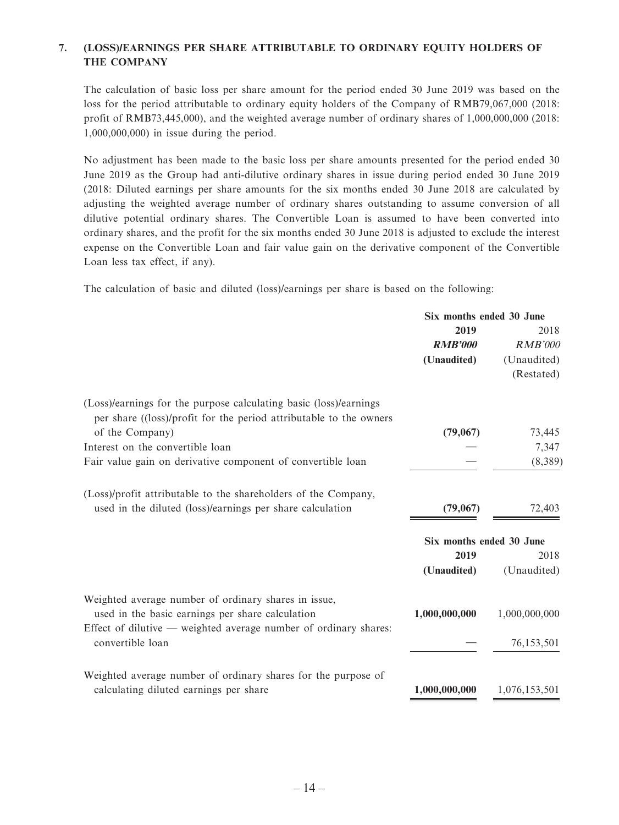### **7. (LOSS)/EARNINGS PER SHARE ATTRIBUTABLE TO ORDINARY EQUITY HOLDERS OF THE COMPANY**

The calculation of basic loss per share amount for the period ended 30 June 2019 was based on the loss for the period attributable to ordinary equity holders of the Company of RMB79,067,000 (2018: profit of RMB73,445,000), and the weighted average number of ordinary shares of 1,000,000,000 (2018: 1,000,000,000) in issue during the period.

No adjustment has been made to the basic loss per share amounts presented for the period ended 30 June 2019 as the Group had anti-dilutive ordinary shares in issue during period ended 30 June 2019 (2018: Diluted earnings per share amounts for the six months ended 30 June 2018 are calculated by adjusting the weighted average number of ordinary shares outstanding to assume conversion of all dilutive potential ordinary shares. The Convertible Loan is assumed to have been converted into ordinary shares, and the profit for the six months ended 30 June 2018 is adjusted to exclude the interest expense on the Convertible Loan and fair value gain on the derivative component of the Convertible Loan less tax effect, if any).

The calculation of basic and diluted (loss)/earnings per share is based on the following:

|                                                                    | Six months ended 30 June |                |
|--------------------------------------------------------------------|--------------------------|----------------|
|                                                                    | 2019                     | 2018           |
|                                                                    | <b>RMB'000</b>           | <b>RMB'000</b> |
|                                                                    | (Unaudited)              | (Unaudited)    |
|                                                                    |                          | (Restated)     |
| (Loss)/earnings for the purpose calculating basic (loss)/earnings  |                          |                |
| per share ((loss)/profit for the period attributable to the owners |                          |                |
| of the Company)                                                    | (79,067)                 | 73,445         |
| Interest on the convertible loan                                   |                          | 7,347          |
| Fair value gain on derivative component of convertible loan        |                          | (8,389)        |
| (Loss)/profit attributable to the shareholders of the Company,     |                          |                |
| used in the diluted (loss)/earnings per share calculation          | (79,067)                 | 72,403         |
|                                                                    | Six months ended 30 June |                |
|                                                                    | 2019                     | 2018           |
|                                                                    | (Unaudited)              | (Unaudited)    |
| Weighted average number of ordinary shares in issue,               |                          |                |
| used in the basic earnings per share calculation                   | 1,000,000,000            | 1,000,000,000  |
| Effect of dilutive $-$ weighted average number of ordinary shares: |                          |                |
| convertible loan                                                   |                          | 76,153,501     |
| Weighted average number of ordinary shares for the purpose of      |                          |                |
| calculating diluted earnings per share                             | 1,000,000,000            | 1,076,153,501  |
|                                                                    |                          |                |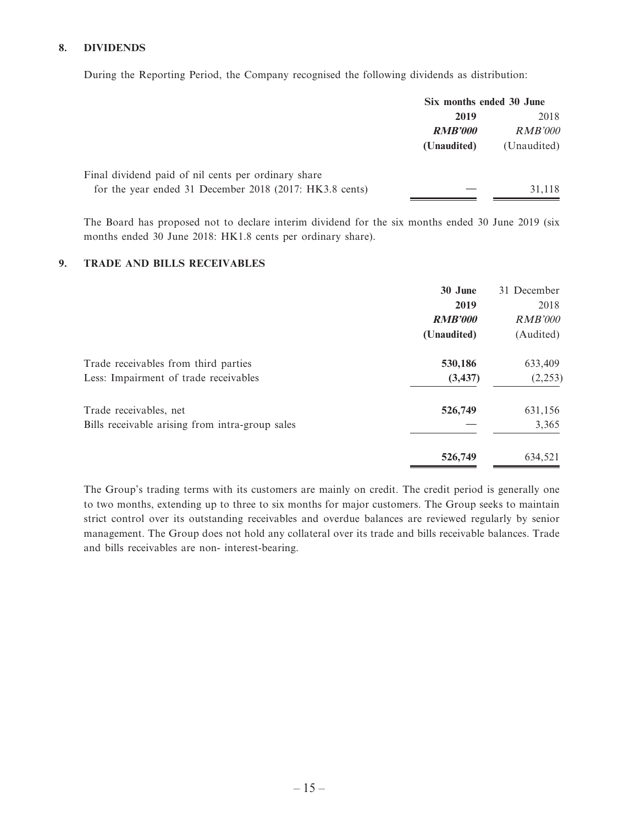#### **8. DIVIDENDS**

During the Reporting Period, the Company recognised the following dividends as distribution:

|                                                         | Six months ended 30 June |                |
|---------------------------------------------------------|--------------------------|----------------|
|                                                         | 2019                     | 2018           |
|                                                         | <b>RMB'000</b>           | <i>RMB'000</i> |
|                                                         | (Unaudited)              | (Unaudited)    |
| Final dividend paid of nil cents per ordinary share     |                          |                |
| for the year ended 31 December 2018 (2017: HK3.8 cents) |                          | 31,118         |

The Board has proposed not to declare interim dividend for the six months ended 30 June 2019 (six months ended 30 June 2018: HK1.8 cents per ordinary share).

#### **9. TRADE AND BILLS RECEIVABLES**

|                                                 | 30 June        | 31 December    |
|-------------------------------------------------|----------------|----------------|
|                                                 | 2019           | 2018           |
|                                                 | <b>RMB'000</b> | <b>RMB'000</b> |
|                                                 | (Unaudited)    | (Audited)      |
| Trade receivables from third parties            | 530,186        | 633,409        |
| Less: Impairment of trade receivables           | (3, 437)       | (2,253)        |
| Trade receivables, net                          | 526,749        | 631,156        |
| Bills receivable arising from intra-group sales |                | 3,365          |
|                                                 | 526,749        | 634,521        |

The Group's trading terms with its customers are mainly on credit. The credit period is generally one to two months, extending up to three to six months for major customers. The Group seeks to maintain strict control over its outstanding receivables and overdue balances are reviewed regularly by senior management. The Group does not hold any collateral over its trade and bills receivable balances. Trade and bills receivables are non- interest-bearing.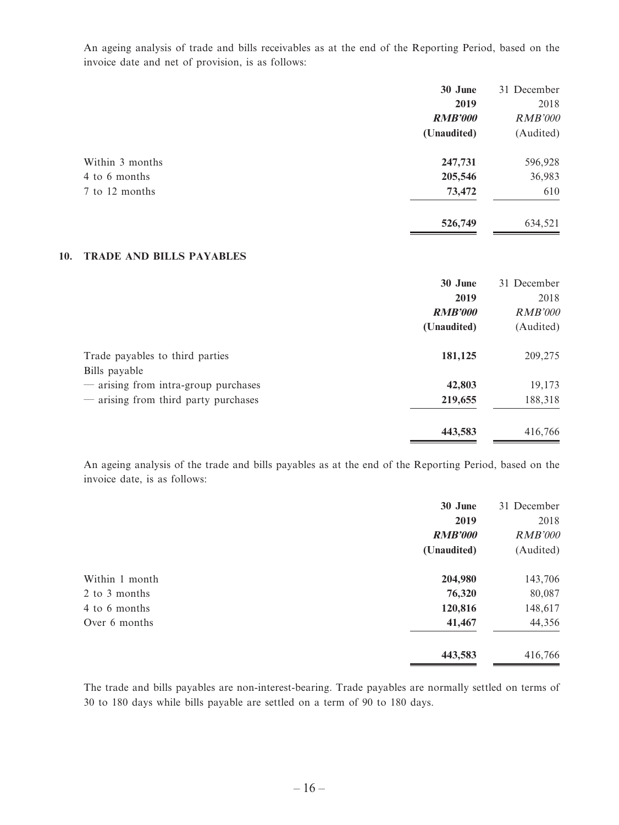An ageing analysis of trade and bills receivables as at the end of the Reporting Period, based on the invoice date and net of provision, is as follows:

|                 | 30 June        | 31 December    |
|-----------------|----------------|----------------|
|                 | 2019           | 2018           |
|                 | <b>RMB'000</b> | <b>RMB'000</b> |
|                 | (Unaudited)    | (Audited)      |
| Within 3 months | 247,731        | 596,928        |
| 4 to 6 months   | 205,546        | 36,983         |
| 7 to 12 months  | 73,472         | 610            |
|                 | 526,749        | 634,521        |

#### **10. TRADE AND BILLS PAYABLES**

|                                      | 30 June        | 31 December    |
|--------------------------------------|----------------|----------------|
|                                      | 2019           | 2018           |
|                                      | <b>RMB'000</b> | <b>RMB'000</b> |
|                                      | (Unaudited)    | (Audited)      |
| Trade payables to third parties      | 181,125        | 209,275        |
| Bills payable                        |                |                |
| - arising from intra-group purchases | 42,803         | 19,173         |
| — arising from third party purchases | 219,655        | 188,318        |
|                                      | 443,583        | 416,766        |

An ageing analysis of the trade and bills payables as at the end of the Reporting Period, based on the invoice date, is as follows:

|                | 30 June        | 31 December    |
|----------------|----------------|----------------|
|                | 2019           | 2018           |
|                | <b>RMB'000</b> | <b>RMB'000</b> |
|                | (Unaudited)    | (Audited)      |
| Within 1 month | 204,980        | 143,706        |
| 2 to 3 months  | 76,320         | 80,087         |
| 4 to 6 months  | 120,816        | 148,617        |
| Over 6 months  | 41,467         | 44,356         |
|                | 443,583        | 416,766        |

The trade and bills payables are non-interest-bearing. Trade payables are normally settled on terms of 30 to 180 days while bills payable are settled on a term of 90 to 180 days.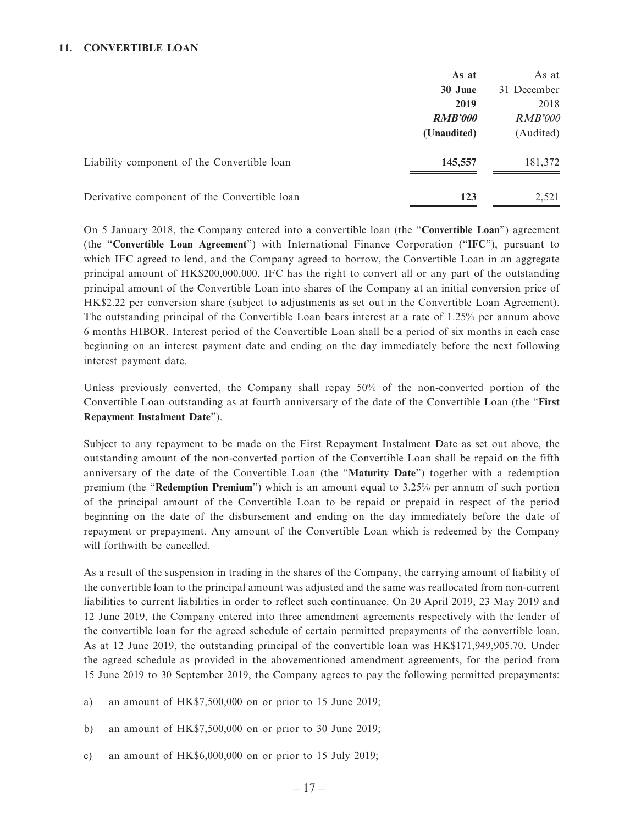#### **11. CONVERTIBLE LOAN**

|                                              | As at          | As at          |
|----------------------------------------------|----------------|----------------|
|                                              | 30 June        | 31 December    |
|                                              | 2019           | 2018           |
|                                              | <b>RMB'000</b> | <b>RMB'000</b> |
|                                              | (Unaudited)    | (Audited)      |
| Liability component of the Convertible loan  | 145,557        | 181,372        |
| Derivative component of the Convertible loan | 123            | 2,521          |

On 5 January 2018, the Company entered into a convertible loan (the "**Convertible Loan**") agreement (the "**Convertible Loan Agreement**") with International Finance Corporation ("**IFC**"), pursuant to which IFC agreed to lend, and the Company agreed to borrow, the Convertible Loan in an aggregate principal amount of HK\$200,000,000. IFC has the right to convert all or any part of the outstanding principal amount of the Convertible Loan into shares of the Company at an initial conversion price of HK\$2.22 per conversion share (subject to adjustments as set out in the Convertible Loan Agreement). The outstanding principal of the Convertible Loan bears interest at a rate of 1.25% per annum above 6 months HIBOR. Interest period of the Convertible Loan shall be a period of six months in each case beginning on an interest payment date and ending on the day immediately before the next following interest payment date.

Unless previously converted, the Company shall repay 50% of the non-converted portion of the Convertible Loan outstanding as at fourth anniversary of the date of the Convertible Loan (the "**First Repayment Instalment Date**").

Subject to any repayment to be made on the First Repayment Instalment Date as set out above, the outstanding amount of the non-converted portion of the Convertible Loan shall be repaid on the fifth anniversary of the date of the Convertible Loan (the "**Maturity Date**") together with a redemption premium (the "**Redemption Premium**") which is an amount equal to 3.25% per annum of such portion of the principal amount of the Convertible Loan to be repaid or prepaid in respect of the period beginning on the date of the disbursement and ending on the day immediately before the date of repayment or prepayment. Any amount of the Convertible Loan which is redeemed by the Company will forthwith be cancelled.

As a result of the suspension in trading in the shares of the Company, the carrying amount of liability of the convertible loan to the principal amount was adjusted and the same was reallocated from non-current liabilities to current liabilities in order to reflect such continuance. On 20 April 2019, 23 May 2019 and 12 June 2019, the Company entered into three amendment agreements respectively with the lender of the convertible loan for the agreed schedule of certain permitted prepayments of the convertible loan. As at 12 June 2019, the outstanding principal of the convertible loan was HK\$171,949,905.70. Under the agreed schedule as provided in the abovementioned amendment agreements, for the period from 15 June 2019 to 30 September 2019, the Company agrees to pay the following permitted prepayments:

- a) an amount of HK\$7,500,000 on or prior to 15 June 2019;
- b) an amount of HK\$7,500,000 on or prior to 30 June 2019;
- c) an amount of HK\$6,000,000 on or prior to 15 July 2019;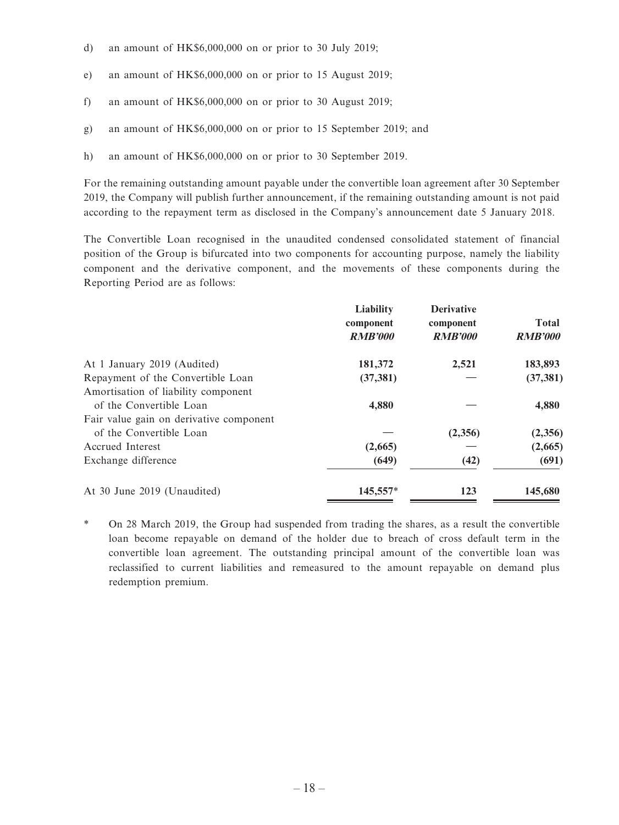- d) an amount of HK\$6,000,000 on or prior to 30 July 2019;
- e) an amount of HK\$6,000,000 on or prior to 15 August 2019;
- f) an amount of HK\$6,000,000 on or prior to 30 August 2019;
- g) an amount of HK\$6,000,000 on or prior to 15 September 2019; and
- h) an amount of HK\$6,000,000 on or prior to 30 September 2019.

For the remaining outstanding amount payable under the convertible loan agreement after 30 September 2019, the Company will publish further announcement, if the remaining outstanding amount is not paid according to the repayment term as disclosed in the Company's announcement date 5 January 2018.

The Convertible Loan recognised in the unaudited condensed consolidated statement of financial position of the Group is bifurcated into two components for accounting purpose, namely the liability component and the derivative component, and the movements of these components during the Reporting Period are as follows:

|                                         | Liability<br>component<br><b>RMB'000</b> | <b>Derivative</b><br>component<br><b>RMB'000</b> | <b>Total</b><br><b>RMB'000</b> |
|-----------------------------------------|------------------------------------------|--------------------------------------------------|--------------------------------|
| At 1 January 2019 (Audited)             | 181,372                                  | 2,521                                            | 183,893                        |
| Repayment of the Convertible Loan       | (37, 381)                                |                                                  | (37, 381)                      |
| Amortisation of liability component     |                                          |                                                  |                                |
| of the Convertible Loan                 | 4,880                                    |                                                  | 4,880                          |
| Fair value gain on derivative component |                                          |                                                  |                                |
| of the Convertible Loan                 |                                          | (2,356)                                          | (2,356)                        |
| Accrued Interest                        | (2,665)                                  |                                                  | (2,665)                        |
| Exchange difference                     | (649)                                    | (42)                                             | (691)                          |
| At 30 June 2019 (Unaudited)             | 145,557*                                 | 123                                              | 145,680                        |

\* On 28 March 2019, the Group had suspended from trading the shares, as a result the convertible loan become repayable on demand of the holder due to breach of cross default term in the convertible loan agreement. The outstanding principal amount of the convertible loan was reclassified to current liabilities and remeasured to the amount repayable on demand plus redemption premium.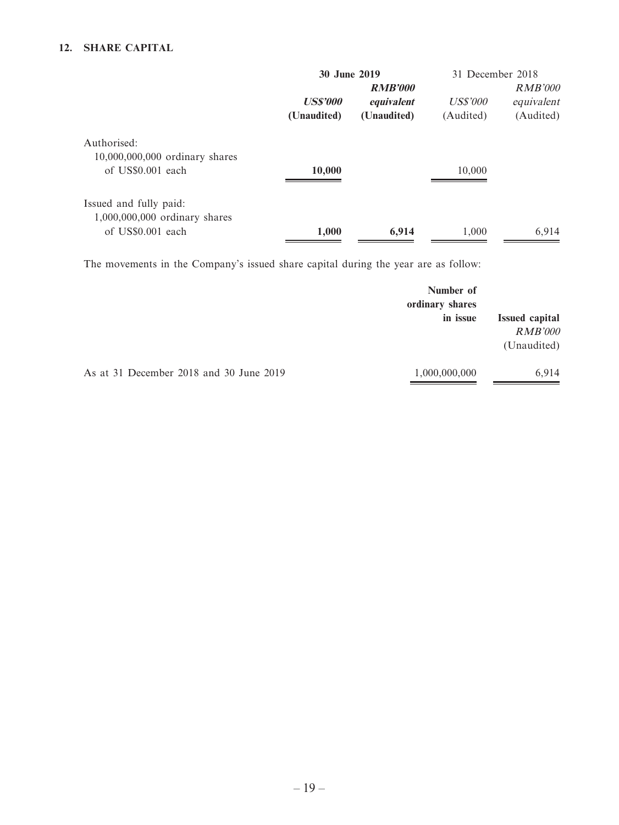### **12. SHARE CAPITAL**

|                                                                              | 30 June 2019                   |                                             | 31 December 2018             |                                           |
|------------------------------------------------------------------------------|--------------------------------|---------------------------------------------|------------------------------|-------------------------------------------|
|                                                                              | <b>US\$'000</b><br>(Unaudited) | <b>RMB'000</b><br>equivalent<br>(Unaudited) | <i>US\$'000</i><br>(Audited) | <i>RMB'000</i><br>equivalent<br>(Audited) |
| Authorised:<br>10,000,000,000 ordinary shares<br>of US\$0.001 each           | 10,000                         |                                             | 10,000                       |                                           |
| Issued and fully paid:<br>1,000,000,000 ordinary shares<br>of US\$0.001 each | 1,000                          | 6,914                                       | 1,000                        | 6,914                                     |

The movements in the Company's issued share capital during the year are as follow:

|                                         | Number of<br>ordinary shares |                                                        |
|-----------------------------------------|------------------------------|--------------------------------------------------------|
|                                         | in issue                     | <b>Issued capital</b><br><b>RMB'000</b><br>(Unaudited) |
| As at 31 December 2018 and 30 June 2019 | 1,000,000,000                | 6,914                                                  |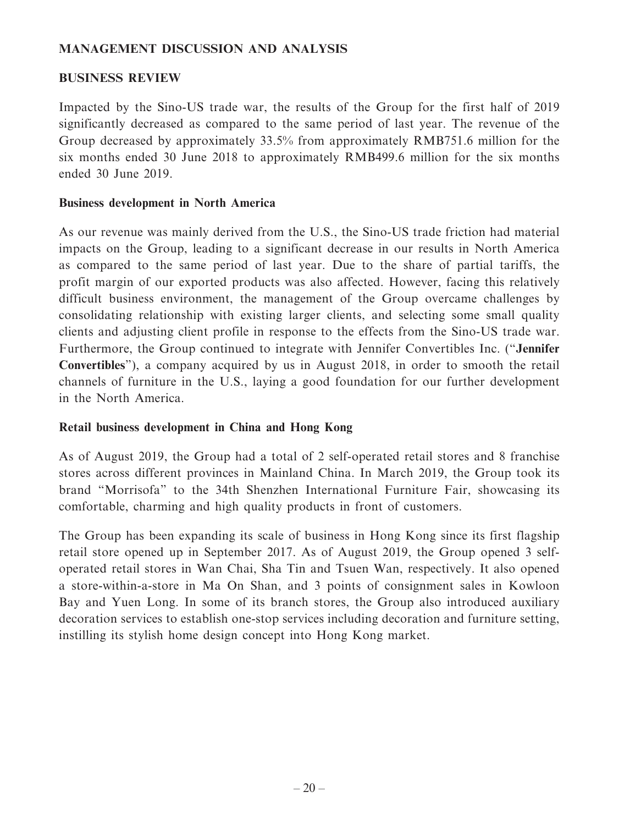### **MANAGEMENT DISCUSSION AND ANALYSIS**

### **BUSINESS REVIEW**

Impacted by the Sino-US trade war, the results of the Group for the first half of 2019 significantly decreased as compared to the same period of last year. The revenue of the Group decreased by approximately 33.5% from approximately RMB751.6 million for the six months ended 30 June 2018 to approximately RMB499.6 million for the six months ended 30 June 2019.

### **Business development in North America**

As our revenue was mainly derived from the U.S., the Sino-US trade friction had material impacts on the Group, leading to a significant decrease in our results in North America as compared to the same period of last year. Due to the share of partial tariffs, the profit margin of our exported products was also affected. However, facing this relatively difficult business environment, the management of the Group overcame challenges by consolidating relationship with existing larger clients, and selecting some small quality clients and adjusting client profile in response to the effects from the Sino-US trade war. Furthermore, the Group continued to integrate with Jennifer Convertibles Inc. ("**Jennifer Convertibles**"), a company acquired by us in August 2018, in order to smooth the retail channels of furniture in the U.S., laying a good foundation for our further development in the North America.

### **Retail business development in China and Hong Kong**

As of August 2019, the Group had a total of 2 self-operated retail stores and 8 franchise stores across different provinces in Mainland China. In March 2019, the Group took its brand "Morrisofa" to the 34th Shenzhen International Furniture Fair, showcasing its comfortable, charming and high quality products in front of customers.

The Group has been expanding its scale of business in Hong Kong since its first flagship retail store opened up in September 2017. As of August 2019, the Group opened 3 selfoperated retail stores in Wan Chai, Sha Tin and Tsuen Wan, respectively. It also opened a store-within-a-store in Ma On Shan, and 3 points of consignment sales in Kowloon Bay and Yuen Long. In some of its branch stores, the Group also introduced auxiliary decoration services to establish one-stop services including decoration and furniture setting, instilling its stylish home design concept into Hong Kong market.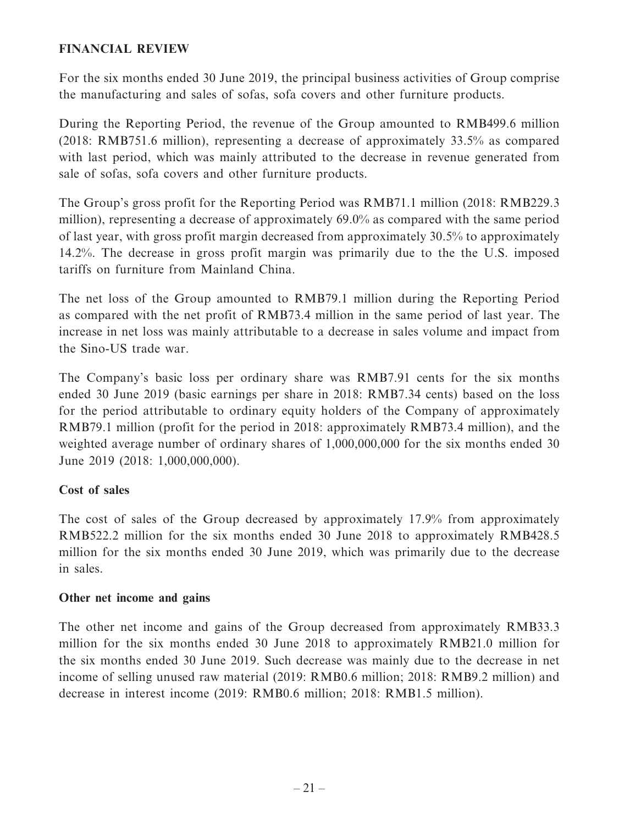### **FINANCIAL REVIEW**

For the six months ended 30 June 2019, the principal business activities of Group comprise the manufacturing and sales of sofas, sofa covers and other furniture products.

During the Reporting Period, the revenue of the Group amounted to RMB499.6 million (2018: RMB751.6 million), representing a decrease of approximately 33.5% as compared with last period, which was mainly attributed to the decrease in revenue generated from sale of sofas, sofa covers and other furniture products.

The Group's gross profit for the Reporting Period was RMB71.1 million (2018: RMB229.3 million), representing a decrease of approximately 69.0% as compared with the same period of last year, with gross profit margin decreased from approximately 30.5% to approximately 14.2%. The decrease in gross profit margin was primarily due to the the U.S. imposed tariffs on furniture from Mainland China.

The net loss of the Group amounted to RMB79.1 million during the Reporting Period as compared with the net profit of RMB73.4 million in the same period of last year. The increase in net loss was mainly attributable to a decrease in sales volume and impact from the Sino-US trade war.

The Company's basic loss per ordinary share was RMB7.91 cents for the six months ended 30 June 2019 (basic earnings per share in 2018: RMB7.34 cents) based on the loss for the period attributable to ordinary equity holders of the Company of approximately RMB79.1 million (profit for the period in 2018: approximately RMB73.4 million), and the weighted average number of ordinary shares of 1,000,000,000 for the six months ended 30 June 2019 (2018: 1,000,000,000).

# **Cost of sales**

The cost of sales of the Group decreased by approximately 17.9% from approximately RMB522.2 million for the six months ended 30 June 2018 to approximately RMB428.5 million for the six months ended 30 June 2019, which was primarily due to the decrease in sales.

### **Other net income and gains**

The other net income and gains of the Group decreased from approximately RMB33.3 million for the six months ended 30 June 2018 to approximately RMB21.0 million for the six months ended 30 June 2019. Such decrease was mainly due to the decrease in net income of selling unused raw material (2019: RMB0.6 million; 2018: RMB9.2 million) and decrease in interest income (2019: RMB0.6 million; 2018: RMB1.5 million).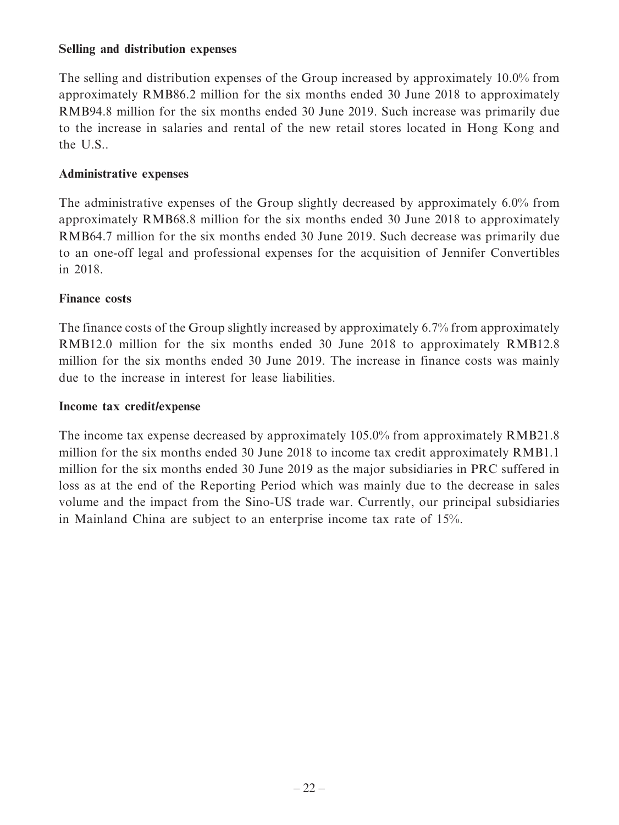### **Selling and distribution expenses**

The selling and distribution expenses of the Group increased by approximately 10.0% from approximately RMB86.2 million for the six months ended 30 June 2018 to approximately RMB94.8 million for the six months ended 30 June 2019. Such increase was primarily due to the increase in salaries and rental of the new retail stores located in Hong Kong and the U.S..

# **Administrative expenses**

The administrative expenses of the Group slightly decreased by approximately 6.0% from approximately RMB68.8 million for the six months ended 30 June 2018 to approximately RMB64.7 million for the six months ended 30 June 2019. Such decrease was primarily due to an one-off legal and professional expenses for the acquisition of Jennifer Convertibles in 2018.

### **Finance costs**

The finance costs of the Group slightly increased by approximately 6.7% from approximately RMB12.0 million for the six months ended 30 June 2018 to approximately RMB12.8 million for the six months ended 30 June 2019. The increase in finance costs was mainly due to the increase in interest for lease liabilities.

### **Income tax credit/expense**

The income tax expense decreased by approximately 105.0% from approximately RMB21.8 million for the six months ended 30 June 2018 to income tax credit approximately RMB1.1 million for the six months ended 30 June 2019 as the major subsidiaries in PRC suffered in loss as at the end of the Reporting Period which was mainly due to the decrease in sales volume and the impact from the Sino-US trade war. Currently, our principal subsidiaries in Mainland China are subject to an enterprise income tax rate of 15%.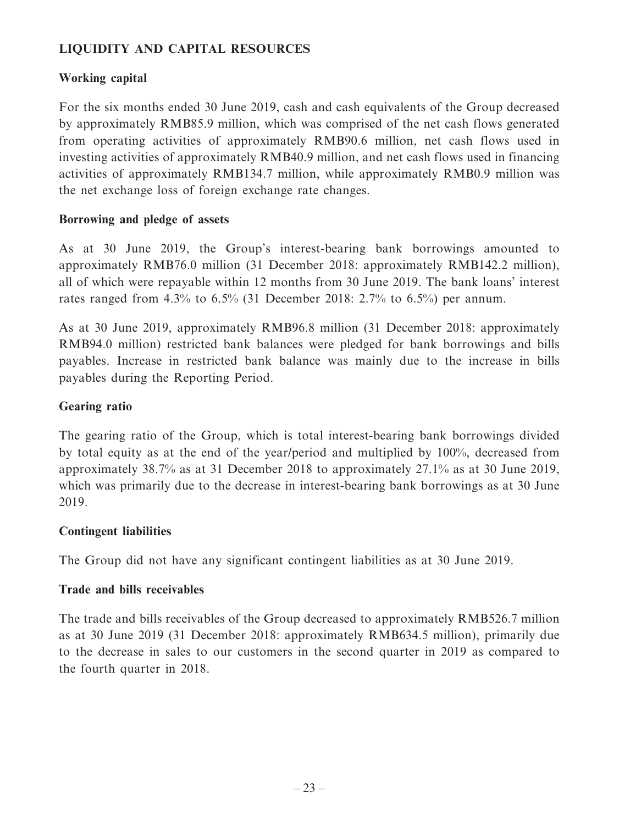# **LIQUIDITY AND CAPITAL RESOURCES**

# **Working capital**

For the six months ended 30 June 2019, cash and cash equivalents of the Group decreased by approximately RMB85.9 million, which was comprised of the net cash flows generated from operating activities of approximately RMB90.6 million, net cash flows used in investing activities of approximately RMB40.9 million, and net cash flows used in financing activities of approximately RMB134.7 million, while approximately RMB0.9 million was the net exchange loss of foreign exchange rate changes.

### **Borrowing and pledge of assets**

As at 30 June 2019, the Group's interest-bearing bank borrowings amounted to approximately RMB76.0 million (31 December 2018: approximately RMB142.2 million), all of which were repayable within 12 months from 30 June 2019. The bank loans' interest rates ranged from 4.3% to 6.5% (31 December 2018: 2.7% to 6.5%) per annum.

As at 30 June 2019, approximately RMB96.8 million (31 December 2018: approximately RMB94.0 million) restricted bank balances were pledged for bank borrowings and bills payables. Increase in restricted bank balance was mainly due to the increase in bills payables during the Reporting Period.

### **Gearing ratio**

The gearing ratio of the Group, which is total interest-bearing bank borrowings divided by total equity as at the end of the year/period and multiplied by 100%, decreased from approximately 38.7% as at 31 December 2018 to approximately 27.1% as at 30 June 2019, which was primarily due to the decrease in interest-bearing bank borrowings as at 30 June 2019.

### **Contingent liabilities**

The Group did not have any significant contingent liabilities as at 30 June 2019.

### **Trade and bills receivables**

The trade and bills receivables of the Group decreased to approximately RMB526.7 million as at 30 June 2019 (31 December 2018: approximately RMB634.5 million), primarily due to the decrease in sales to our customers in the second quarter in 2019 as compared to the fourth quarter in 2018.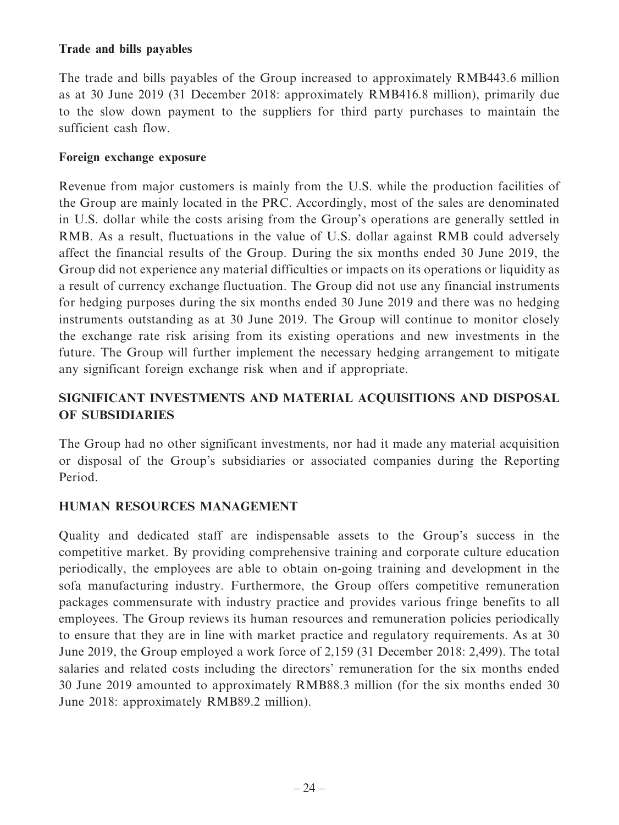### **Trade and bills payables**

The trade and bills payables of the Group increased to approximately RMB443.6 million as at 30 June 2019 (31 December 2018: approximately RMB416.8 million), primarily due to the slow down payment to the suppliers for third party purchases to maintain the sufficient cash flow.

### **Foreign exchange exposure**

Revenue from major customers is mainly from the U.S. while the production facilities of the Group are mainly located in the PRC. Accordingly, most of the sales are denominated in U.S. dollar while the costs arising from the Group's operations are generally settled in RMB. As a result, fluctuations in the value of U.S. dollar against RMB could adversely affect the financial results of the Group. During the six months ended 30 June 2019, the Group did not experience any material difficulties or impacts on its operations or liquidity as a result of currency exchange fluctuation. The Group did not use any financial instruments for hedging purposes during the six months ended 30 June 2019 and there was no hedging instruments outstanding as at 30 June 2019. The Group will continue to monitor closely the exchange rate risk arising from its existing operations and new investments in the future. The Group will further implement the necessary hedging arrangement to mitigate any significant foreign exchange risk when and if appropriate.

# **SIGNIFICANT INVESTMENTS AND MATERIAL ACQUISITIONS AND DISPOSAL OF SUBSIDIARIES**

The Group had no other significant investments, nor had it made any material acquisition or disposal of the Group's subsidiaries or associated companies during the Reporting Period.

# **HUMAN RESOURCES MANAGEMENT**

Quality and dedicated staff are indispensable assets to the Group's success in the competitive market. By providing comprehensive training and corporate culture education periodically, the employees are able to obtain on-going training and development in the sofa manufacturing industry. Furthermore, the Group offers competitive remuneration packages commensurate with industry practice and provides various fringe benefits to all employees. The Group reviews its human resources and remuneration policies periodically to ensure that they are in line with market practice and regulatory requirements. As at 30 June 2019, the Group employed a work force of 2,159 (31 December 2018: 2,499). The total salaries and related costs including the directors' remuneration for the six months ended 30 June 2019 amounted to approximately RMB88.3 million (for the six months ended 30 June 2018: approximately RMB89.2 million).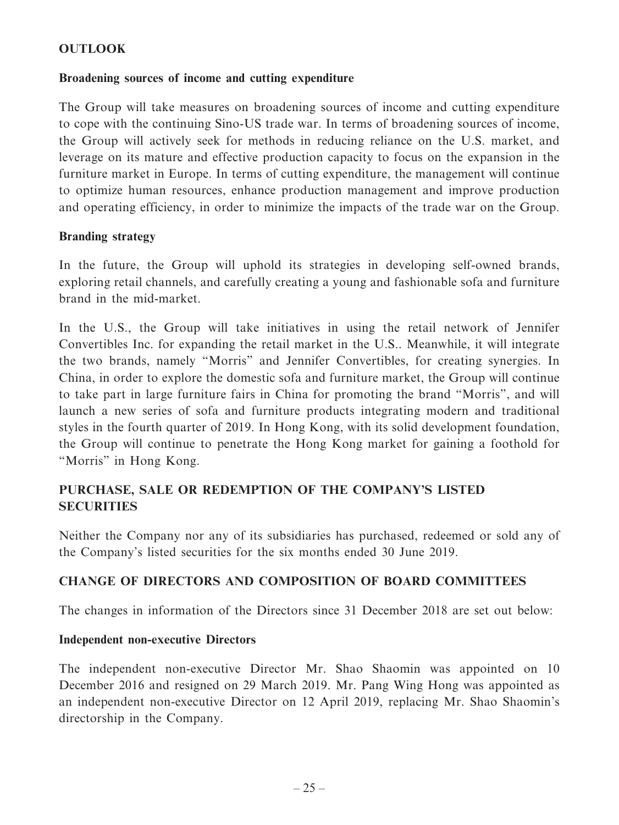# **OUTLOOK**

### **Broadening sources of income and cutting expenditure**

The Group will take measures on broadening sources of income and cutting expenditure to cope with the continuing Sino-US trade war. In terms of broadening sources of income, the Group will actively seek for methods in reducing reliance on the U.S. market, and leverage on its mature and effective production capacity to focus on the expansion in the furniture market in Europe. In terms of cutting expenditure, the management will continue to optimize human resources, enhance production management and improve production and operating efficiency, in order to minimize the impacts of the trade war on the Group.

### **Branding strategy**

In the future, the Group will uphold its strategies in developing self-owned brands, exploring retail channels, and carefully creating a young and fashionable sofa and furniture brand in the mid-market.

In the U.S., the Group will take initiatives in using the retail network of Jennifer Convertibles Inc. for expanding the retail market in the U.S.. Meanwhile, it will integrate the two brands, namely "Morris" and Jennifer Convertibles, for creating synergies. In China, in order to explore the domestic sofa and furniture market, the Group will continue to take part in large furniture fairs in China for promoting the brand "Morris", and will launch a new series of sofa and furniture products integrating modern and traditional styles in the fourth quarter of 2019. In Hong Kong, with its solid development foundation, the Group will continue to penetrate the Hong Kong market for gaining a foothold for "Morris" in Hong Kong.

# **PURCHASE, SALE OR REDEMPTION OF THE COMPANY'S LISTED SECURITIES**

Neither the Company nor any of its subsidiaries has purchased, redeemed or sold any of the Company's listed securities for the six months ended 30 June 2019.

# **CHANGE OF DIRECTORS AND COMPOSITION OF BOARD COMMITTEES**

The changes in information of the Directors since 31 December 2018 are set out below:

### **Independent non-executive Directors**

The independent non-executive Director Mr. Shao Shaomin was appointed on 10 December 2016 and resigned on 29 March 2019. Mr. Pang Wing Hong was appointed as an independent non-executive Director on 12 April 2019, replacing Mr. Shao Shaomin's directorship in the Company.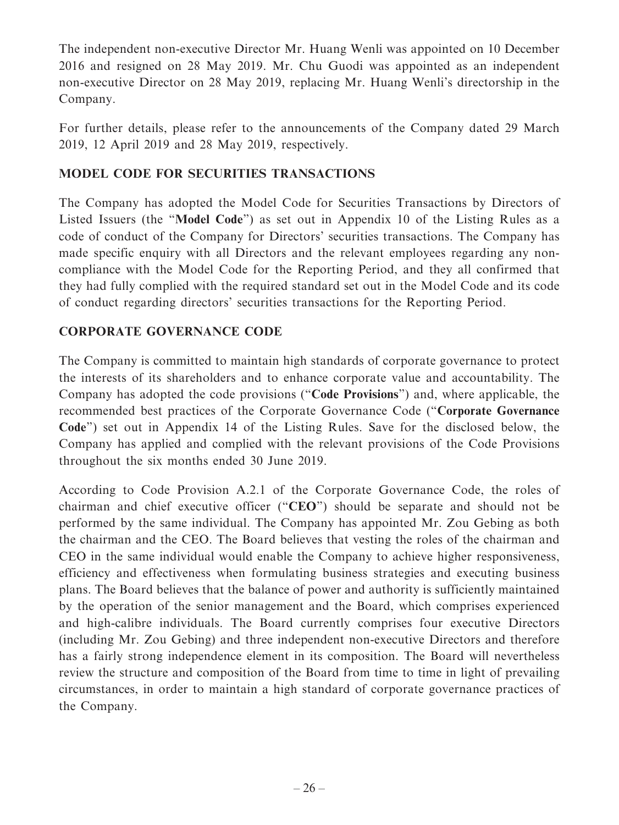The independent non-executive Director Mr. Huang Wenli was appointed on 10 December 2016 and resigned on 28 May 2019. Mr. Chu Guodi was appointed as an independent non-executive Director on 28 May 2019, replacing Mr. Huang Wenli's directorship in the Company.

For further details, please refer to the announcements of the Company dated 29 March 2019, 12 April 2019 and 28 May 2019, respectively.

# **MODEL CODE FOR SECURITIES TRANSACTIONS**

The Company has adopted the Model Code for Securities Transactions by Directors of Listed Issuers (the "**Model Code**") as set out in Appendix 10 of the Listing Rules as a code of conduct of the Company for Directors' securities transactions. The Company has made specific enquiry with all Directors and the relevant employees regarding any noncompliance with the Model Code for the Reporting Period, and they all confirmed that they had fully complied with the required standard set out in the Model Code and its code of conduct regarding directors' securities transactions for the Reporting Period.

# **CORPORATE GOVERNANCE CODE**

The Company is committed to maintain high standards of corporate governance to protect the interests of its shareholders and to enhance corporate value and accountability. The Company has adopted the code provisions ("**Code Provisions**") and, where applicable, the recommended best practices of the Corporate Governance Code ("**Corporate Governance Code**") set out in Appendix 14 of the Listing Rules. Save for the disclosed below, the Company has applied and complied with the relevant provisions of the Code Provisions throughout the six months ended 30 June 2019.

According to Code Provision A.2.1 of the Corporate Governance Code, the roles of chairman and chief executive officer ("**CEO**") should be separate and should not be performed by the same individual. The Company has appointed Mr. Zou Gebing as both the chairman and the CEO. The Board believes that vesting the roles of the chairman and CEO in the same individual would enable the Company to achieve higher responsiveness, efficiency and effectiveness when formulating business strategies and executing business plans. The Board believes that the balance of power and authority is sufficiently maintained by the operation of the senior management and the Board, which comprises experienced and high-calibre individuals. The Board currently comprises four executive Directors (including Mr. Zou Gebing) and three independent non-executive Directors and therefore has a fairly strong independence element in its composition. The Board will nevertheless review the structure and composition of the Board from time to time in light of prevailing circumstances, in order to maintain a high standard of corporate governance practices of the Company.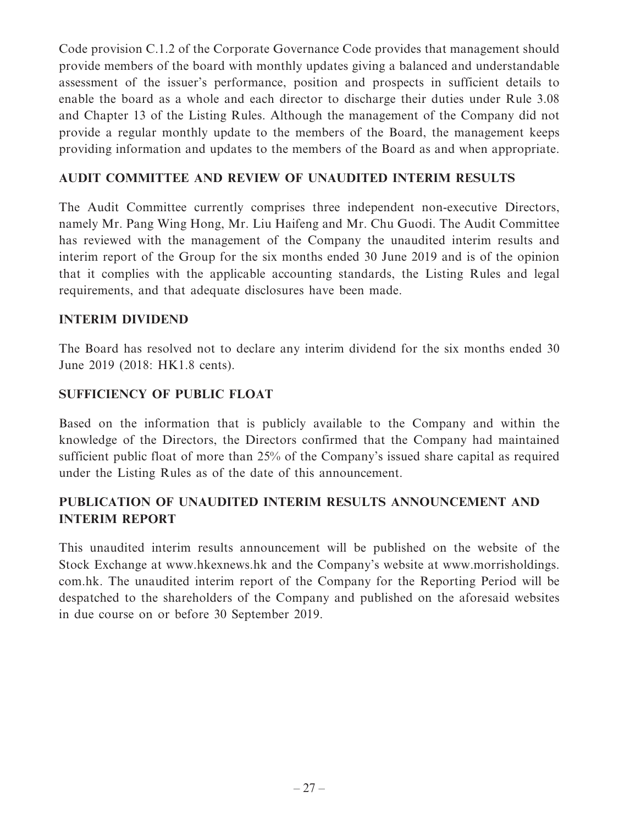Code provision C.1.2 of the Corporate Governance Code provides that management should provide members of the board with monthly updates giving a balanced and understandable assessment of the issuer's performance, position and prospects in sufficient details to enable the board as a whole and each director to discharge their duties under Rule 3.08 and Chapter 13 of the Listing Rules. Although the management of the Company did not provide a regular monthly update to the members of the Board, the management keeps providing information and updates to the members of the Board as and when appropriate.

### **AUDIT COMMITTEE AND REVIEW OF UNAUDITED INTERIM RESULTS**

The Audit Committee currently comprises three independent non-executive Directors, namely Mr. Pang Wing Hong, Mr. Liu Haifeng and Mr. Chu Guodi. The Audit Committee has reviewed with the management of the Company the unaudited interim results and interim report of the Group for the six months ended 30 June 2019 and is of the opinion that it complies with the applicable accounting standards, the Listing Rules and legal requirements, and that adequate disclosures have been made.

### **INTERIM DIVIDEND**

The Board has resolved not to declare any interim dividend for the six months ended 30 June 2019 (2018: HK1.8 cents).

# **SUFFICIENCY OF PUBLIC FLOAT**

Based on the information that is publicly available to the Company and within the knowledge of the Directors, the Directors confirmed that the Company had maintained sufficient public float of more than 25% of the Company's issued share capital as required under the Listing Rules as of the date of this announcement.

# **PUBLICATION OF UNAUDITED INTERIM RESULTS ANNOUNCEMENT AND INTERIM REPORT**

This unaudited interim results announcement will be published on the website of the Stock Exchange at www.hkexnews.hk and the Company's website at www.morrisholdings. com.hk. The unaudited interim report of the Company for the Reporting Period will be despatched to the shareholders of the Company and published on the aforesaid websites in due course on or before 30 September 2019.